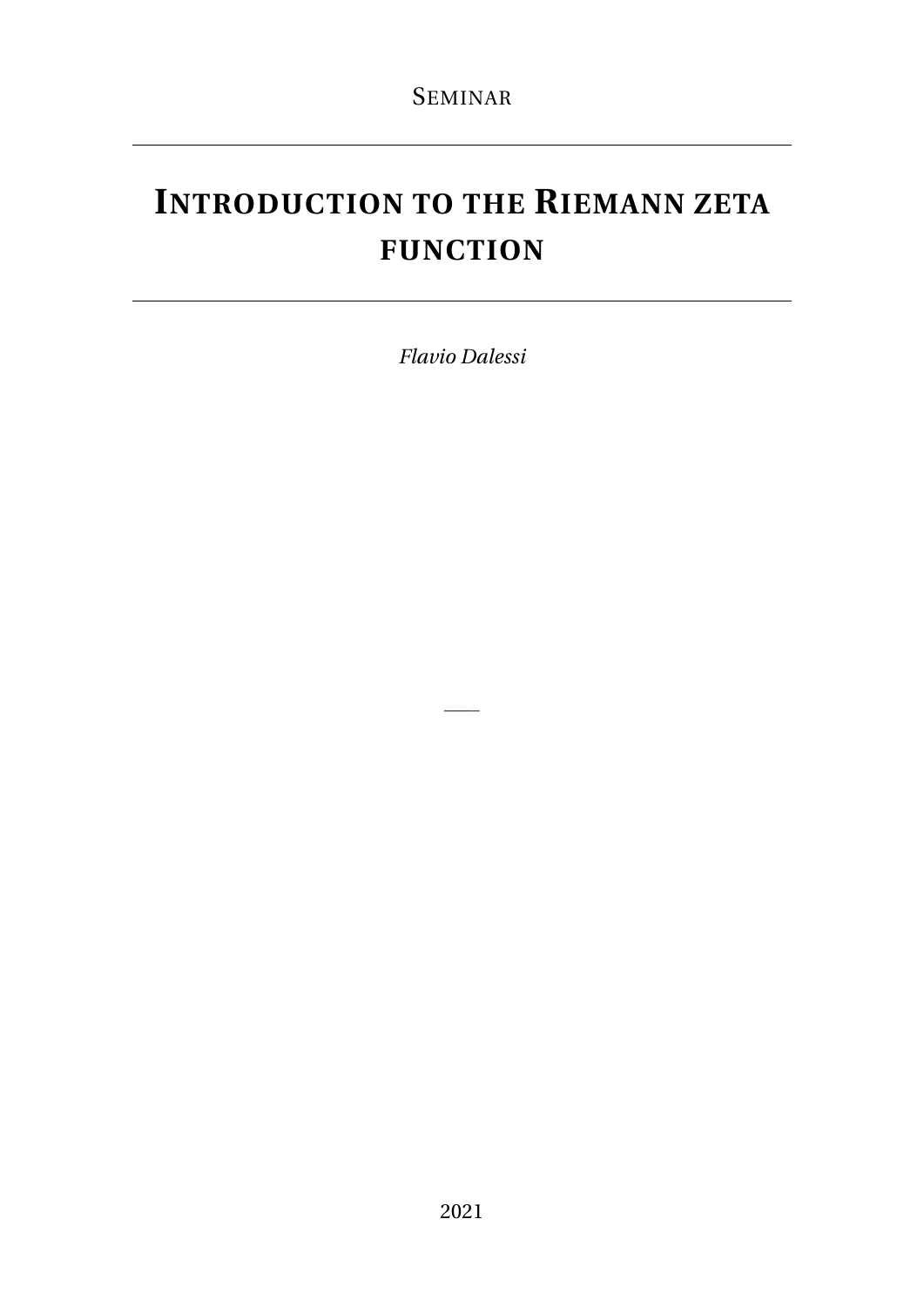# **INTRODUCTION TO THE RIEMANN ZETA FUNCTION**

*Flavio Dalessi*

——–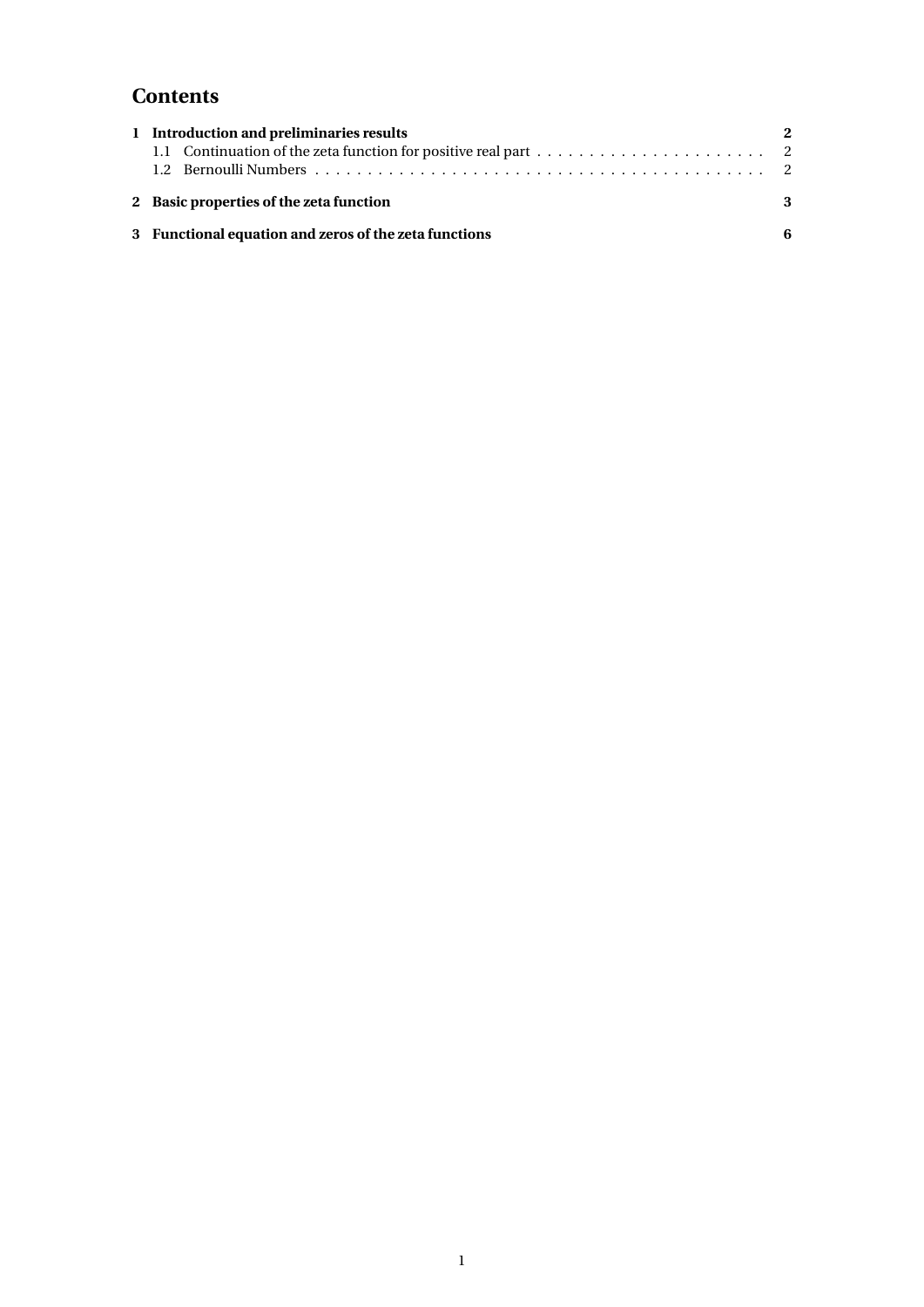# **Contents**

| 1 Introduction and preliminaries results              | $\boldsymbol{2}$ |
|-------------------------------------------------------|------------------|
| 2 Basic properties of the zeta function               | 3                |
| 3 Functional equation and zeros of the zeta functions | 6                |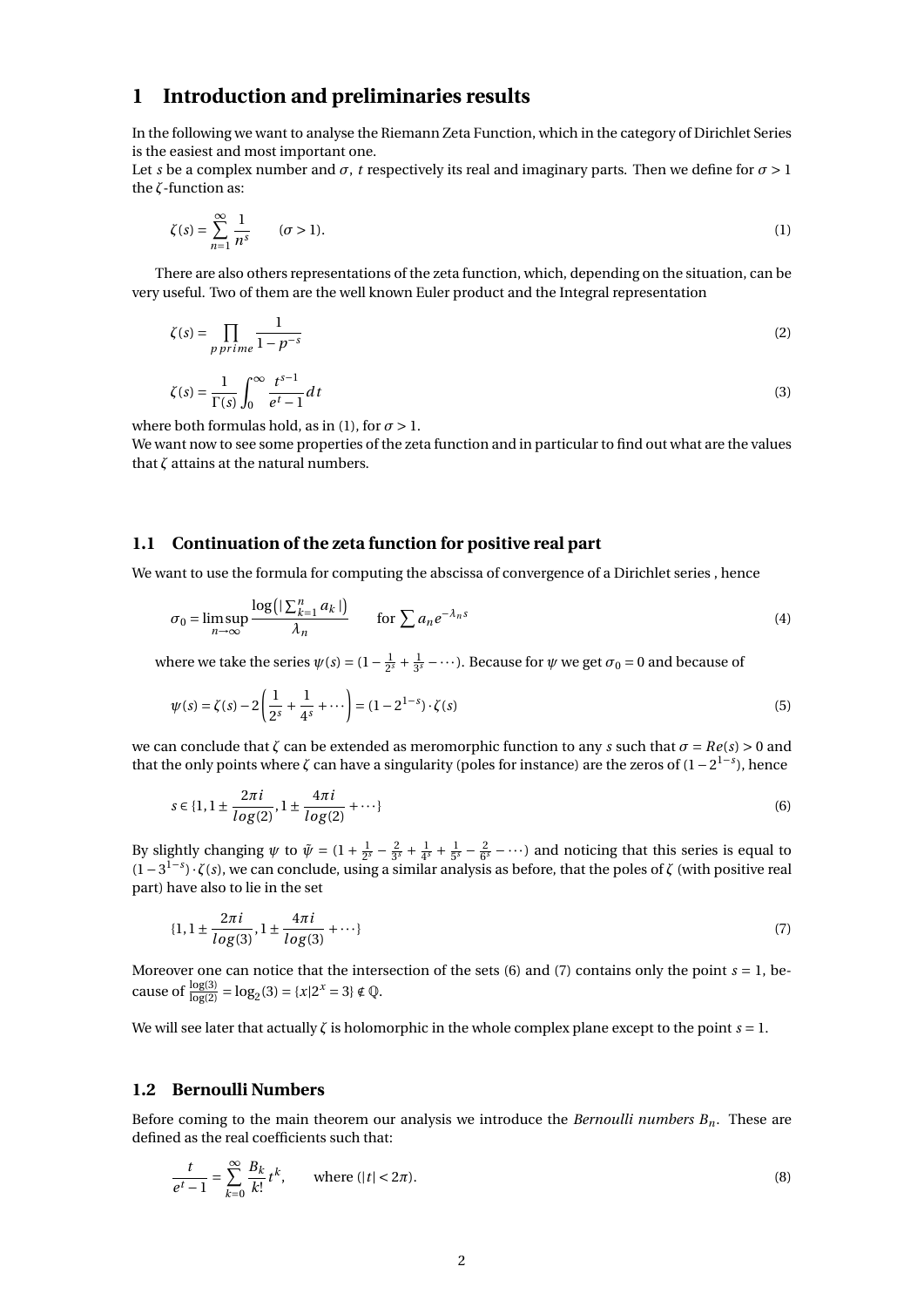# **1 Introduction and preliminaries results**

In the following we want to analyse the Riemann Zeta Function, which in the category of Dirichlet Series is the easiest and most important one.

Let *s* be a complex number and  $\sigma$ , *t* respectively its real and imaginary parts. Then we define for  $\sigma > 1$ the *ζ*-function as:

$$
\zeta(s) = \sum_{n=1}^{\infty} \frac{1}{n^s} \qquad (\sigma > 1). \tag{1}
$$

There are also others representations of the zeta function, which, depending on the situation, can be very useful. Two of them are the well known Euler product and the Integral representation

$$
\zeta(s) = \prod_{p \text{ prime}} \frac{1}{1 - p^{-s}} \tag{2}
$$

$$
\zeta(s) = \frac{1}{\Gamma(s)} \int_0^\infty \frac{t^{s-1}}{e^t - 1} dt
$$
\n(3)

where both formulas hold, as in (1), for  $\sigma > 1$ .

We want now to see some properties of the zeta function and in particular to find out what are the values that *ζ* attains at the natural numbers.

#### **1.1 Continuation of the zeta function for positive real part**

We want to use the formula for computing the abscissa of convergence of a Dirichlet series , hence

$$
\sigma_0 = \limsup_{n \to \infty} \frac{\log(|\sum_{k=1}^n a_k|)}{\lambda_n} \qquad \text{for } \sum a_n e^{-\lambda_n s} \tag{4}
$$

where we take the series  $\psi(s) = (1 - \frac{1}{2^s} + \frac{1}{3^s} - \cdots)$ . Because for  $\psi$  we get  $\sigma_0 = 0$  and because of

$$
\psi(s) = \zeta(s) - 2\left(\frac{1}{2^s} + \frac{1}{4^s} + \cdots\right) = (1 - 2^{1-s}) \cdot \zeta(s)
$$
\n(5)

we can conclude that  $\zeta$  can be extended as meromorphic function to any *s* such that  $\sigma = Re(s) > 0$  and that the only points where  $\zeta$  can have a singularity (poles for instance) are the zeros of  $(1 - 2^{1-s})$ , hence

$$
s \in \{1, 1 \pm \frac{2\pi i}{\log(2)}, 1 \pm \frac{4\pi i}{\log(2)} + \cdots\}
$$
 (6)

By slightly changing  $\psi$  to  $\tilde{\psi} = (1 + \frac{1}{2^s} - \frac{2}{3^s} + \frac{1}{4^s} + \frac{1}{5^s} - \frac{2}{6^s} - \cdots)$  and noticing that this series is equal to (1−3 1−*s* )· *ζ*(*s*), we can conclude, using a similar analysis as before, that the poles of *ζ* (with positive real part) have also to lie in the set

$$
\{1, 1 \pm \frac{2\pi i}{\log(3)}, 1 \pm \frac{4\pi i}{\log(3)} + \cdots\} \tag{7}
$$

Moreover one can notice that the intersection of the sets  $(6)$  and  $(7)$  contains only the point  $s = 1$ , because of  $\frac{\log(3)}{\log(2)} = \log_2(3) = \{x | 2^x = 3\} \notin \mathbb{Q}$ .

We will see later that actually *ζ* is holomorphic in the whole complex plane except to the point *s* = 1.

#### **1.2 Bernoulli Numbers**

Before coming to the main theorem our analysis we introduce the *Bernoulli numbers Bn*. These are defined as the real coefficients such that:

$$
\frac{t}{e^t - 1} = \sum_{k=0}^{\infty} \frac{B_k}{k!} t^k, \qquad \text{where } (|t| < 2\pi). \tag{8}
$$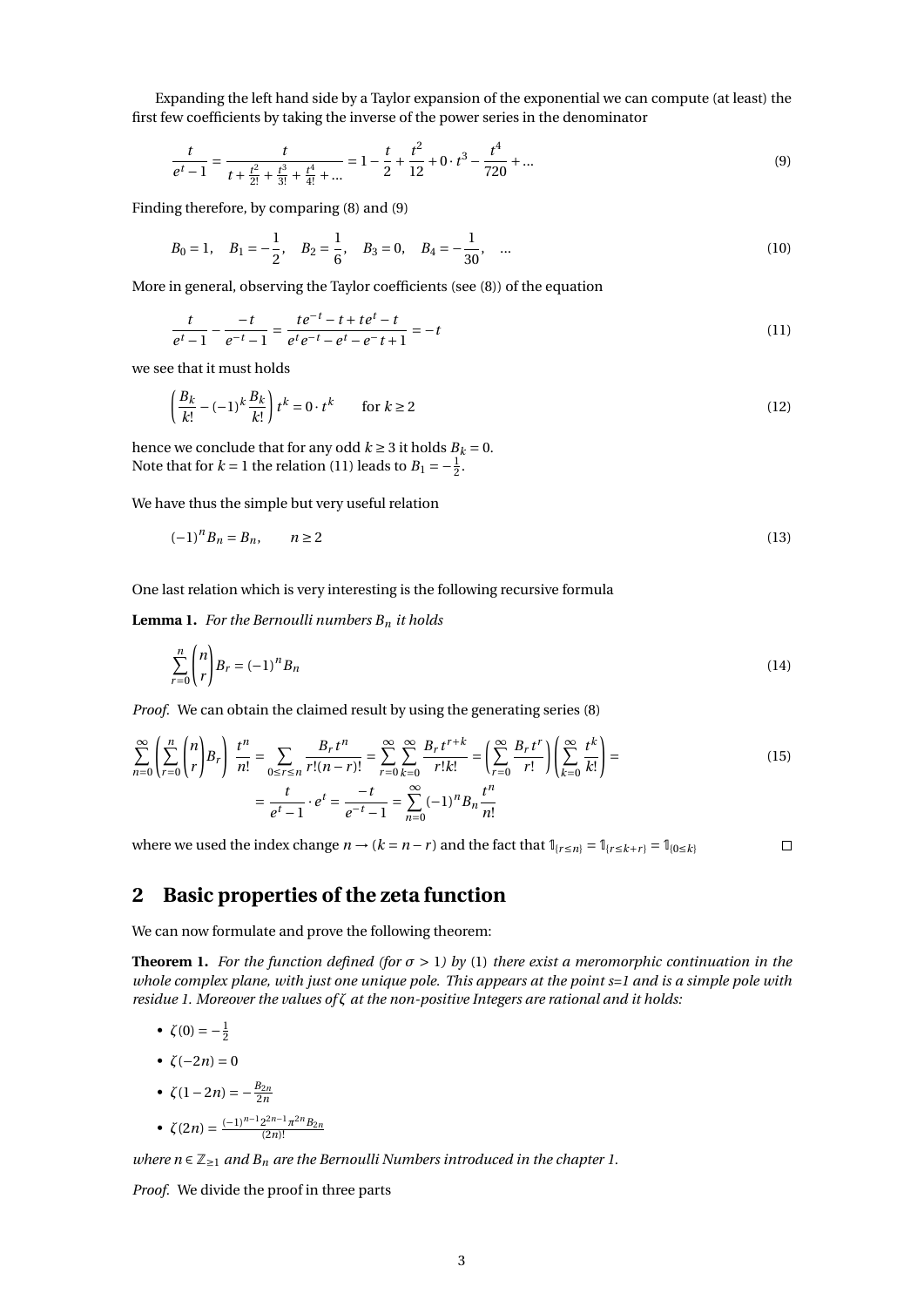Expanding the left hand side by a Taylor expansion of the exponential we can compute (at least) the first few coefficients by taking the inverse of the power series in the denominator

$$
\frac{t}{e^t - 1} = \frac{t}{t + \frac{t^2}{2!} + \frac{t^3}{3!} + \frac{t^4}{4!} + \dots} = 1 - \frac{t}{2} + \frac{t^2}{12} + 0 \cdot t^3 - \frac{t^4}{720} + \dots
$$
\n(9)

Finding therefore, by comparing (8) and (9)

$$
B_0 = 1
$$
,  $B_1 = -\frac{1}{2}$ ,  $B_2 = \frac{1}{6}$ ,  $B_3 = 0$ ,  $B_4 = -\frac{1}{30}$ , ... (10)

More in general, observing the Taylor coefficients (see (8)) of the equation

$$
\frac{t}{e^t - 1} - \frac{-t}{e^{-t} - 1} = \frac{te^{-t} - t + te^t - t}{e^t e^{-t} - e^t - e^- t + 1} = -t
$$
\n(11)

we see that it must holds

$$
\left(\frac{B_k}{k!} - (-1)^k \frac{B_k}{k!}\right) t^k = 0 \cdot t^k \qquad \text{for } k \ge 2
$$
\n<sup>(12)</sup>

hence we conclude that for any odd  $k \geq 3$  it holds  $B_k = 0$ . Note that for  $k = 1$  the relation (11) leads to  $B_1 = -\frac{1}{2}$ .

We have thus the simple but very useful relation

$$
(-1)^n B_n = B_n, \qquad n \ge 2 \tag{13}
$$

One last relation which is very interesting is the following recursive formula

**Lemma 1.** *For the Bernoulli numbers B<sup>n</sup> it holds*

$$
\sum_{r=0}^{n} \binom{n}{r} B_r = (-1)^n B_n \tag{14}
$$

*Proof.* We can obtain the claimed result by using the generating series (8)

$$
\sum_{n=0}^{\infty} \left( \sum_{r=0}^{n} \binom{n}{r} B_r \right) \frac{t^n}{n!} = \sum_{0 \le r \le n} \frac{B_r t^n}{r!(n-r)!} = \sum_{r=0}^{\infty} \sum_{k=0}^{\infty} \frac{B_r t^{r+k}}{r!k!} = \left( \sum_{r=0}^{\infty} \frac{B_r t^r}{r!} \right) \left( \sum_{k=0}^{\infty} \frac{t^k}{k!} \right) =
$$
\n
$$
= \frac{t}{e^t - 1} \cdot e^t = \frac{-t}{e^{-t} - 1} = \sum_{n=0}^{\infty} (-1)^n B_n \frac{t^n}{n!}
$$
\n(15)

where we used the index change  $n \rightarrow (k = n - r)$  and the fact that  $\mathbb{I}_{\{r \leq n\}} = \mathbb{I}_{\{r \leq k + r\}} = \mathbb{I}_{\{0 \leq k\}}$ 

 $\Box$ 

## **2 Basic properties of the zeta function**

We can now formulate and prove the following theorem:

**Theorem 1.** *For the function defined (for*  $\sigma > 1$ ) *by* (1) *there exist a meromorphic continuation in the whole complex plane, with just one unique pole. This appears at the point s=1 and is a simple pole with residue 1. Moreover the values of ζ at the non-positive Integers are rational and it holds:*

$$
\bullet\ \zeta(0)=-
$$

$$
\bullet \ \zeta(-2n)=0
$$

$$
\bullet \ \zeta(1-2n) = -\frac{B_{2n}}{2n}
$$

 $\frac{1}{2}$ 

• 
$$
\zeta(2n) = \frac{(-1)^{n-1} 2^{2n-1} \pi^{2n} B_{2n}}{(2n)!}
$$

*where*  $n \in \mathbb{Z}_{\geq 1}$  *and*  $B_n$  *are the Bernoulli Numbers introduced in the chapter 1.* 

*Proof.* We divide the proof in three parts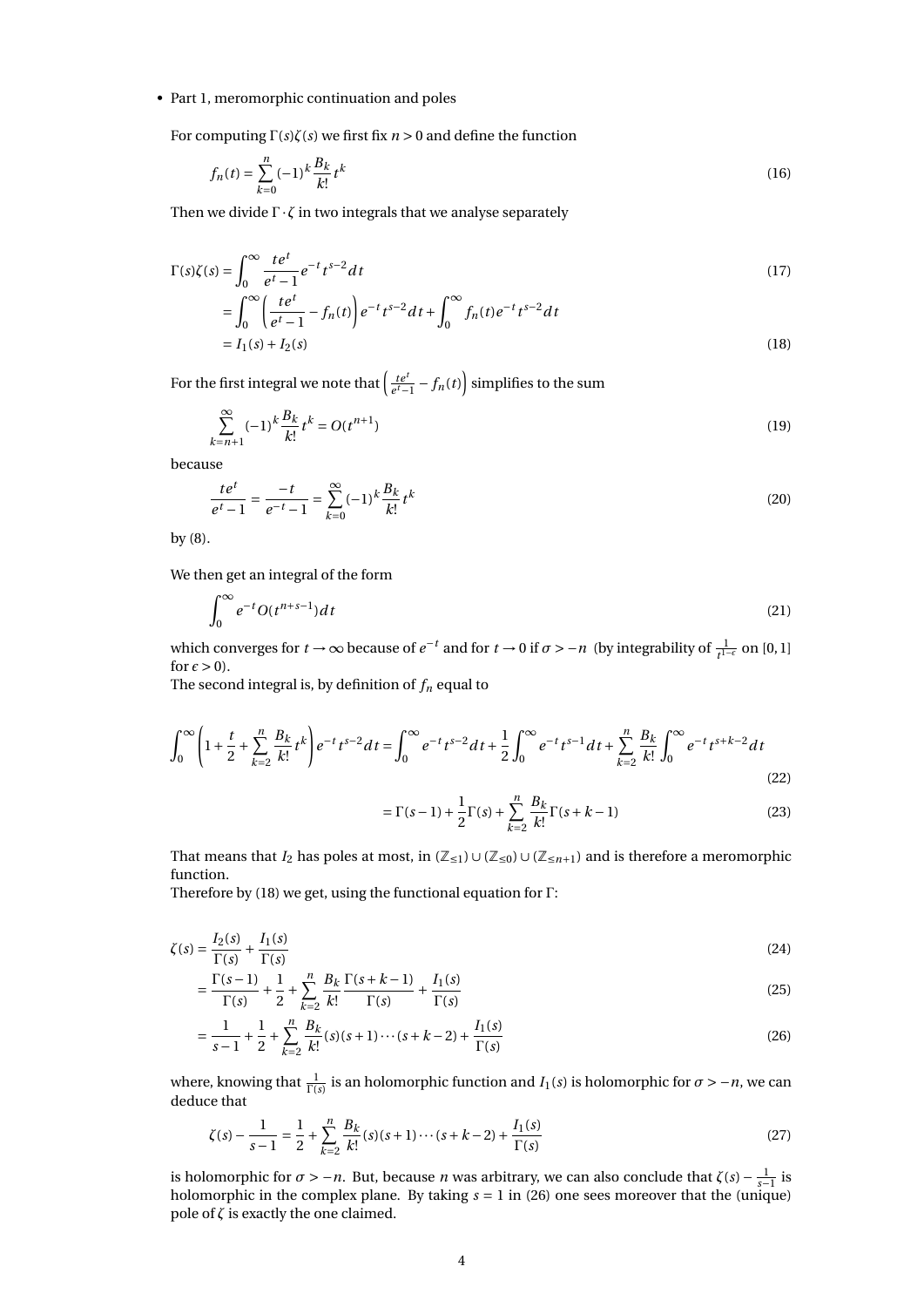#### • Part 1, meromorphic continuation and poles

For computing Γ(*s*)*ζ*(*s*) we first fix *n* > 0 and define the function

$$
f_n(t) = \sum_{k=0}^n (-1)^k \frac{B_k}{k!} t^k
$$
\n(16)

Then we divide  $\Gamma \cdot \zeta$  in two integrals that we analyse separately

$$
\Gamma(s)\zeta(s) = \int_0^\infty \frac{te^t}{e^t - 1} e^{-t} t^{s-2} dt
$$
\n(17)

$$
= \int_0^{\infty} \left( \frac{te^t}{e^t - 1} - f_n(t) \right) e^{-t} t^{s-2} dt + \int_0^{\infty} f_n(t) e^{-t} t^{s-2} dt
$$
  
=  $I_1(s) + I_2(s)$  (18)

For the first integral we note that  $\left(\frac{te^t}{e^t-1} - f_n(t)\right)$  simplifies to the sum

$$
\sum_{k=n+1}^{\infty} (-1)^k \frac{B_k}{k!} t^k = O(t^{n+1})
$$
\n(19)

because

$$
\frac{te^t}{e^t - 1} = \frac{-t}{e^{-t} - 1} = \sum_{k=0}^{\infty} (-1)^k \frac{B_k}{k!} t^k
$$
\n(20)

by (8).

We then get an integral of the form

$$
\int_0^\infty e^{-t} O(t^{n+s-1}) dt \tag{21}
$$

which converges for  $t \to \infty$  because of  $e^{-t}$  and for  $t \to 0$  if  $\sigma > -n$  (by integrability of  $\frac{1}{t^{1-\epsilon}}$  on [0, 1] for  $\epsilon > 0$ ).

The second integral is, by definition of  $f_n$  equal to

$$
\int_0^\infty \left(1 + \frac{t}{2} + \sum_{k=2}^n \frac{B_k}{k!} t^k \right) e^{-t} t^{s-2} dt = \int_0^\infty e^{-t} t^{s-2} dt + \frac{1}{2} \int_0^\infty e^{-t} t^{s-1} dt + \sum_{k=2}^n \frac{B_k}{k!} \int_0^\infty e^{-t} t^{s+k-2} dt
$$
\n(22)

$$
= \Gamma(s-1) + \frac{1}{2}\Gamma(s) + \sum_{k=2}^{n} \frac{B_k}{k!} \Gamma(s+k-1)
$$
 (23)

That means that *I*<sub>2</sub> has poles at most, in  $(\mathbb{Z}_{\leq 1}) \cup (\mathbb{Z}_{\leq 0}) \cup (\mathbb{Z}_{\leq n+1})$  and is therefore a meromorphic function.

Therefore by (18) we get, using the functional equation for Γ:

$$
\zeta(s) = \frac{I_2(s)}{\Gamma(s)} + \frac{I_1(s)}{\Gamma(s)}\tag{24}
$$

$$
= \frac{\Gamma(s-1)}{\Gamma(s)} + \frac{1}{2} + \sum_{k=2}^{n} \frac{B_k}{k!} \frac{\Gamma(s+k-1)}{\Gamma(s)} + \frac{I_1(s)}{\Gamma(s)}
$$
(25)

$$
=\frac{1}{s-1}+\frac{1}{2}+\sum_{k=2}^{n}\frac{B_k}{k!}(s)(s+1)\cdots(s+k-2)+\frac{I_1(s)}{\Gamma(s)}
$$
(26)

where, knowing that  $\frac{1}{\Gamma(s)}$  is an holomorphic function and *I*<sub>1</sub>(*s*) is holomorphic for  $\sigma > -n$ , we can deduce that

$$
\zeta(s) - \frac{1}{s-1} = \frac{1}{2} + \sum_{k=2}^{n} \frac{B_k}{k!} (s)(s+1)\cdots(s+k-2) + \frac{I_1(s)}{\Gamma(s)}
$$
\n(27)

is holomorphic for  $\sigma > -n$ . But, because *n* was arbitrary, we can also conclude that  $\zeta(s) - \frac{1}{s-1}$  is holomorphic in the complex plane. By taking  $s = 1$  in (26) one sees moreover that the (unique) pole of  $\zeta$  is exactly the one claimed.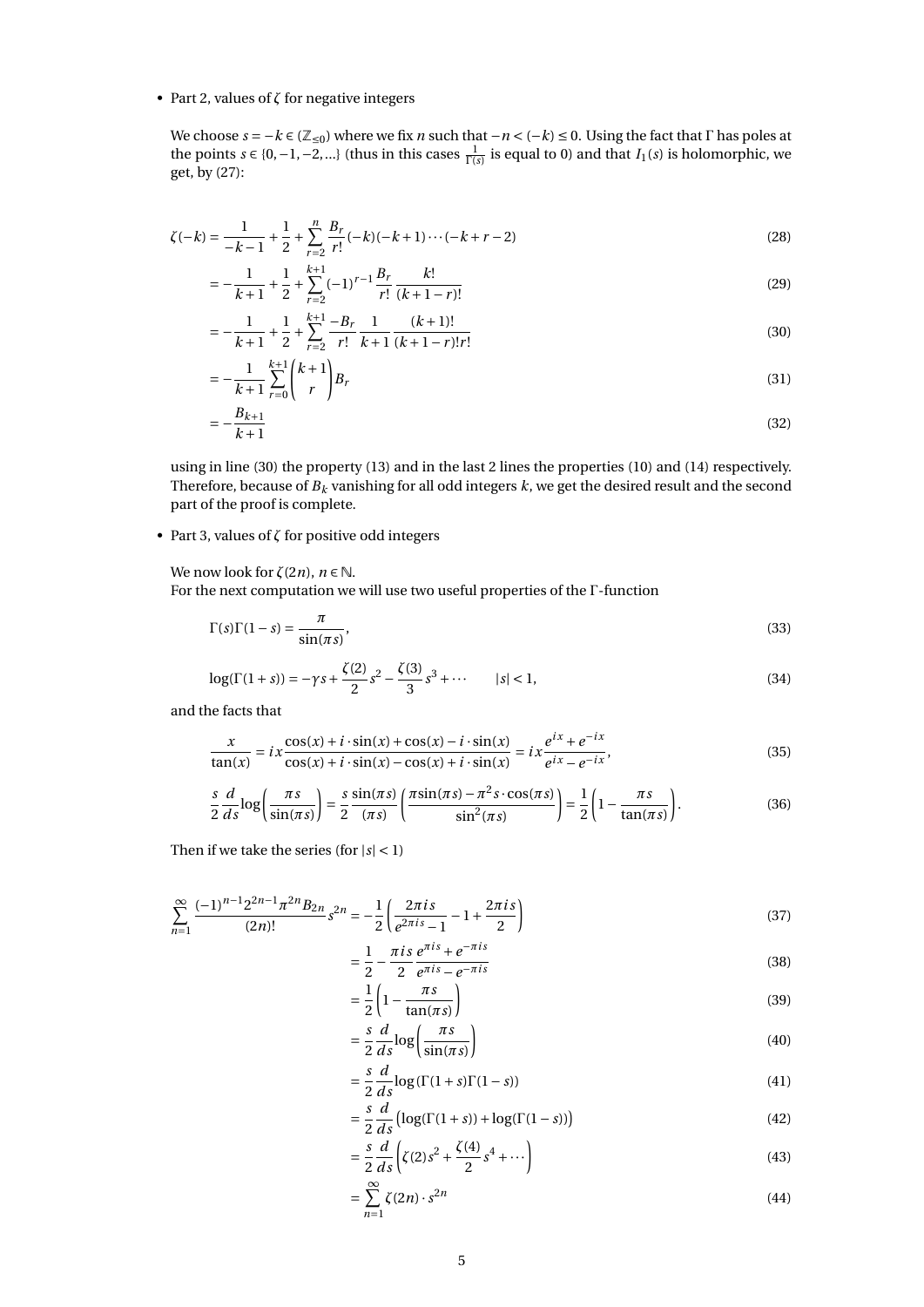#### • Part 2, values of *ζ* for negative integers

We choose  $s = -k \in (\mathbb{Z}_{\le 0})$  where we fix *n* such that  $-n < (-k) \le 0$ . Using the fact that Γ has poles at the points *s* ∈ {0, −1, −2, ...} (thus in this cases  $\frac{1}{\Gamma(s)}$  is equal to 0) and that *I*<sub>1</sub>(*s*) is holomorphic, we get, by (27):

$$
\zeta(-k) = \frac{1}{-k-1} + \frac{1}{2} + \sum_{r=2}^{n} \frac{B_r}{r!}(-k)(-k+1)\cdots(-k+r-2)
$$
\n(28)

$$
= -\frac{1}{k+1} + \frac{1}{2} + \sum_{r=2}^{k+1} (-1)^{r-1} \frac{B_r}{r!} \frac{k!}{(k+1-r)!}
$$
(29)

$$
=-\frac{1}{k+1}+\frac{1}{2}+\sum_{r=2}^{k+1}\frac{-B_r}{r!}\frac{1}{k+1}\frac{(k+1)!}{(k+1-r)!r!}
$$
(30)

$$
= -\frac{1}{k+1} \sum_{r=0}^{k+1} {k+1 \choose r} B_r \tag{31}
$$

$$
=-\frac{B_{k+1}}{k+1}
$$
 (32)

using in line (30) the property (13) and in the last 2 lines the properties (10) and (14) respectively. Therefore, because of *B<sup>k</sup>* vanishing for all odd integers *k*, we get the desired result and the second part of the proof is complete.

• Part 3, values of *ζ* for positive odd integers

We now look for  $\zeta(2n)$ ,  $n \in \mathbb{N}$ .

For the next computation we will use two useful properties of the Γ-function

$$
\Gamma(s)\Gamma(1-s) = \frac{\pi}{\sin(\pi s)},\tag{33}
$$

$$
\log(\Gamma(1+s)) = -\gamma s + \frac{\zeta(2)}{2} s^2 - \frac{\zeta(3)}{3} s^3 + \cdots \qquad |s| < 1,\tag{34}
$$

and the facts that

$$
\frac{x}{\tan(x)} = ix \frac{\cos(x) + i \cdot \sin(x) + \cos(x) - i \cdot \sin(x)}{\cos(x) + i \cdot \sin(x) - \cos(x) + i \cdot \sin(x)} = ix \frac{e^{ix} + e^{-ix}}{e^{ix} - e^{-ix}},
$$
(35)

$$
\frac{s}{2}\frac{d}{ds}\log\left(\frac{\pi s}{\sin(\pi s)}\right) = \frac{s}{2}\frac{\sin(\pi s)}{(\pi s)}\left(\frac{\pi \sin(\pi s) - \pi^2 s \cdot \cos(\pi s)}{\sin^2(\pi s)}\right) = \frac{1}{2}\left(1 - \frac{\pi s}{\tan(\pi s)}\right). \tag{36}
$$

Then if we take the series (for |*s*| < 1)

$$
\sum_{n=1}^{\infty} \frac{(-1)^{n-1} 2^{2n-1} \pi^{2n} B_{2n}}{(2n)!} s^{2n} = -\frac{1}{2} \left( \frac{2\pi i s}{e^{2\pi i s} - 1} - 1 + \frac{2\pi i s}{2} \right)
$$
(37)

$$
=\frac{1}{2} - \frac{\pi i s}{2} \frac{e^{\pi i s} + e^{-\pi i s}}{e^{\pi i s} - e^{-\pi i s}}
$$
(38)

$$
= \frac{1}{2} \left( 1 - \frac{\pi s}{\tan(\pi s)} \right) \tag{39}
$$

$$
= \frac{s}{2} \frac{d}{ds} \log \left( \frac{\pi s}{\sin(\pi s)} \right) \tag{40}
$$

$$
= \frac{s}{2} \frac{d}{ds} \log(\Gamma(1+s)\Gamma(1-s))
$$
\n(41)

$$
= \frac{s}{2} \frac{d}{ds} \left( \log(\Gamma(1+s)) + \log(\Gamma(1-s)) \right)
$$
(42)

$$
= \frac{s}{2} \frac{d}{ds} \left( \zeta(2) s^2 + \frac{\zeta(4)}{2} s^4 + \cdots \right)
$$
 (43)

$$
=\sum_{n=1}^{\infty}\zeta(2n)\cdot s^{2n}\tag{44}
$$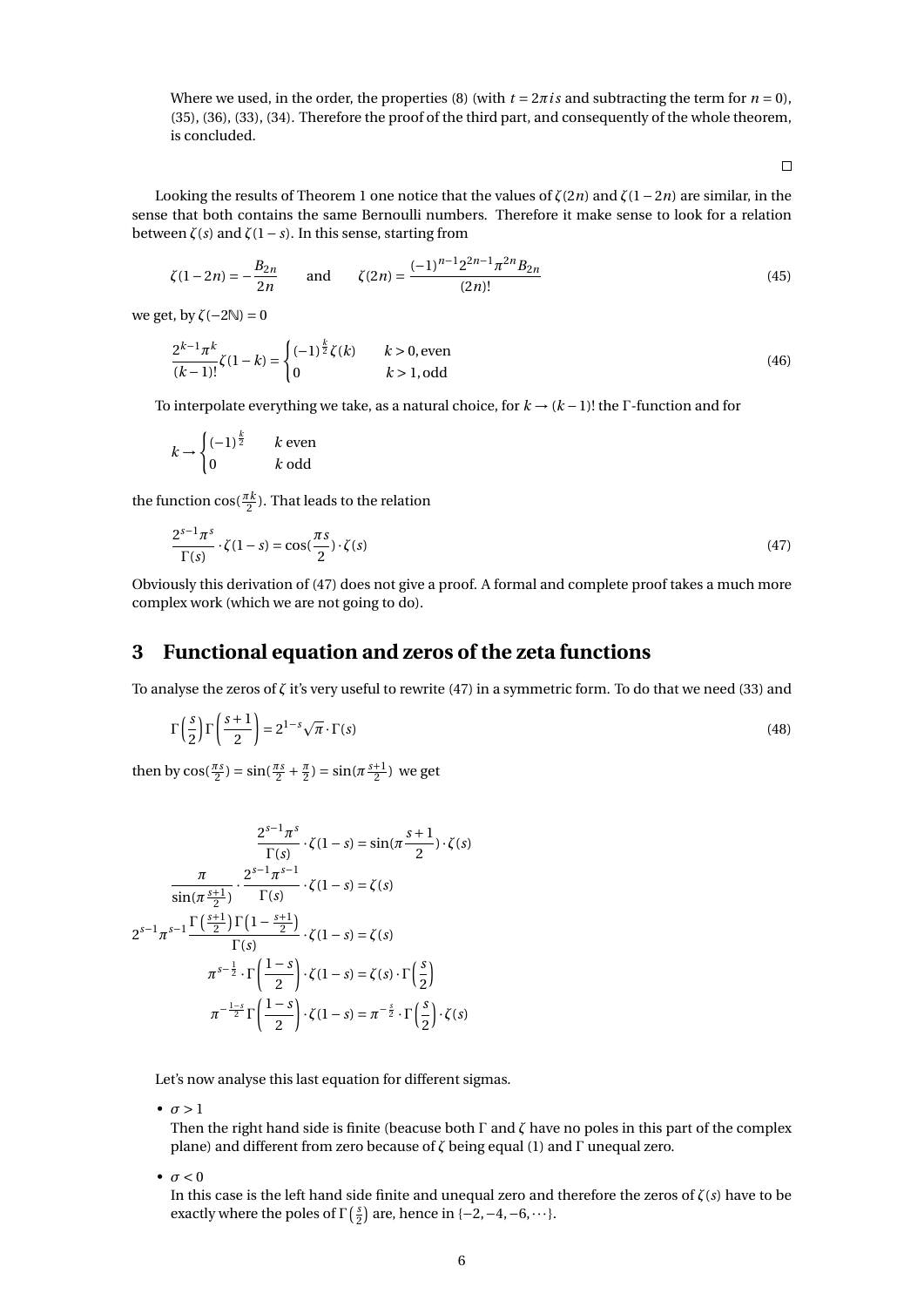Where we used, in the order, the properties (8) (with  $t = 2\pi i s$  and subtracting the term for  $n = 0$ ), (35), (36), (33), (34). Therefore the proof of the third part, and consequently of the whole theorem, is concluded.

 $\Box$ 

Looking the results of Theorem 1 one notice that the values of *ζ*(2*n*) and *ζ*(1−2*n*) are similar, in the sense that both contains the same Bernoulli numbers. Therefore it make sense to look for a relation between *ζ*(*s*) and *ζ*(1− *s*). In this sense, starting from

$$
\zeta(1-2n) = -\frac{B_{2n}}{2n} \quad \text{and} \quad \zeta(2n) = \frac{(-1)^{n-1} 2^{2n-1} \pi^{2n} B_{2n}}{(2n)!}
$$
\n(45)

we get, by  $\zeta(-2\mathbb{N})=0$ 

$$
\frac{2^{k-1}\pi^k}{(k-1)!}\zeta(1-k) = \begin{cases} (-1)^{\frac{k}{2}}\zeta(k) & k > 0, \text{even} \\ 0 & k > 1, \text{odd} \end{cases}
$$
(46)

To interpolate everything we take, as a natural choice, for *k* → (*k* −1)! the Γ-function and for

$$
k \to \begin{cases} (-1)^{\frac{k}{2}} & k \text{ even} \\ 0 & k \text{ odd} \end{cases}
$$

the function  $\cos(\frac{\pi k}{2})$ . That leads to the relation

$$
\frac{2^{s-1}\pi^s}{\Gamma(s)} \cdot \zeta(1-s) = \cos(\frac{\pi s}{2}) \cdot \zeta(s)
$$
\n(47)

Obviously this derivation of (47) does not give a proof. A formal and complete proof takes a much more complex work (which we are not going to do).

### **3 Functional equation and zeros of the zeta functions**

To analyse the zeros of *ζ* it's very useful to rewrite (47) in a symmetric form. To do that we need (33) and

$$
\Gamma\left(\frac{s}{2}\right)\Gamma\left(\frac{s+1}{2}\right) = 2^{1-s}\sqrt{\pi}\cdot\Gamma(s)
$$
\n(48)

then by  $\cos(\frac{\pi s}{2}) = \sin(\frac{\pi s}{2} + \frac{\pi}{2}) = \sin(\pi \frac{s+1}{2})$  we get

$$
\frac{2^{s-1}\pi^s}{\Gamma(s)} \cdot \zeta(1-s) = \sin(\pi \frac{s+1}{2}) \cdot \zeta(s)
$$

$$
\frac{\pi}{\sin(\pi \frac{s+1}{2})} \cdot \frac{2^{s-1}\pi^{s-1}}{\Gamma(s)} \cdot \zeta(1-s) = \zeta(s)
$$

$$
2^{s-1}\pi^{s-1} \frac{\Gamma(\frac{s+1}{2})\Gamma(1-\frac{s+1}{2})}{\Gamma(s)} \cdot \zeta(1-s) = \zeta(s)
$$

$$
\pi^{s-\frac{1}{2}} \cdot \Gamma(\frac{1-s}{2}) \cdot \zeta(1-s) = \zeta(s) \cdot \Gamma(\frac{s}{2})
$$

$$
\pi^{-\frac{1-s}{2}} \Gamma(\frac{1-s}{2}) \cdot \zeta(1-s) = \pi^{-\frac{s}{2}} \cdot \Gamma(\frac{s}{2}) \cdot \zeta(s)
$$

Let's now analyse this last equation for different sigmas.

 $\bullet$   $\sigma > 1$ 

Then the right hand side is finite (beacuse both Γ and *ζ* have no poles in this part of the complex plane) and different from zero because of *ζ* being equal (1) and Γ unequal zero.

 $\bullet$   $\sigma$  < 0

In this case is the left hand side finite and unequal zero and therefore the zeros of *ζ*(*s*) have to be exactly where the poles of  $\Gamma\left(\frac{s}{2}\right)$  are, hence in {-2, -4, -6, ···}.